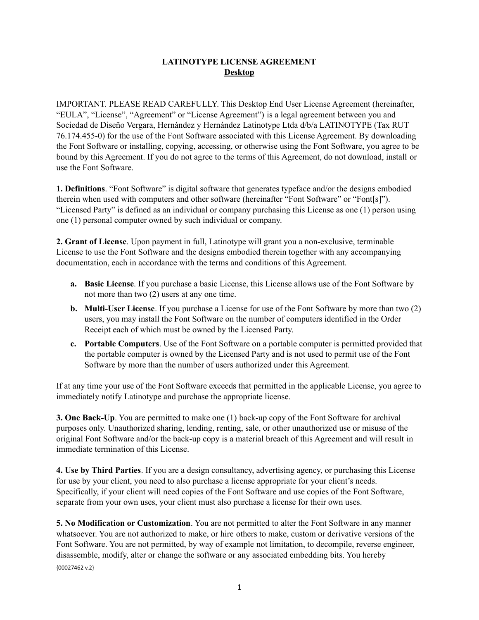## **LATINOTYPE LICENSE AGREEMENT Desktop**

IMPORTANT. PLEASE READ CAREFULLY. This Desktop End User License Agreement (hereinafter, "EULA", "License", "Agreement" or "License Agreement") is a legal agreement between you and Sociedad de Diseño Vergara, Hernández y Hernández Latinotype Ltda d/b/a LATINOTYPE (Tax RUT 76.174.455-0) for the use of the Font Software associated with this License Agreement. By downloading the Font Software or installing, copying, accessing, or otherwise using the Font Software, you agree to be bound by this Agreement. If you do not agree to the terms of this Agreement, do not download, install or use the Font Software.

**1. Definitions**. "Font Software" is digital software that generates typeface and/or the designs embodied therein when used with computers and other software (hereinafter "Font Software" or "Font[s]"). "Licensed Party" is defined as an individual or company purchasing this License as one (1) person using one (1) personal computer owned by such individual or company.

**2. Grant of License**. Upon payment in full, Latinotype will grant you a non-exclusive, terminable License to use the Font Software and the designs embodied therein together with any accompanying documentation, each in accordance with the terms and conditions of this Agreement.

- **a. Basic License**. If you purchase a basic License, this License allows use of the Font Software by not more than two (2) users at any one time.
- **b. Multi-User License**. If you purchase a License for use of the Font Software by more than two (2) users, you may install the Font Software on the number of computers identified in the Order Receipt each of which must be owned by the Licensed Party.
- **c. Portable Computers**. Use of the Font Software on a portable computer is permitted provided that the portable computer is owned by the Licensed Party and is not used to permit use of the Font Software by more than the number of users authorized under this Agreement.

If at any time your use of the Font Software exceeds that permitted in the applicable License, you agree to immediately notify Latinotype and purchase the appropriate license.

**3. One Back-Up**. You are permitted to make one (1) back-up copy of the Font Software for archival purposes only. Unauthorized sharing, lending, renting, sale, or other unauthorized use or misuse of the original Font Software and/or the back-up copy is a material breach of this Agreement and will result in immediate termination of this License.

**4. Use by Third Parties**. If you are a design consultancy, advertising agency, or purchasing this License for use by your client, you need to also purchase a license appropriate for your client's needs. Specifically, if your client will need copies of the Font Software and use copies of the Font Software, separate from your own uses, your client must also purchase a license for their own uses.

**5. No Modification or Customization**. You are not permitted to alter the Font Software in any manner whatsoever. You are not authorized to make, or hire others to make, custom or derivative versions of the Font Software. You are not permitted, by way of example not limitation, to decompile, reverse engineer, disassemble, modify, alter or change the software or any associated embedding bits. You hereby {00027462 v.2}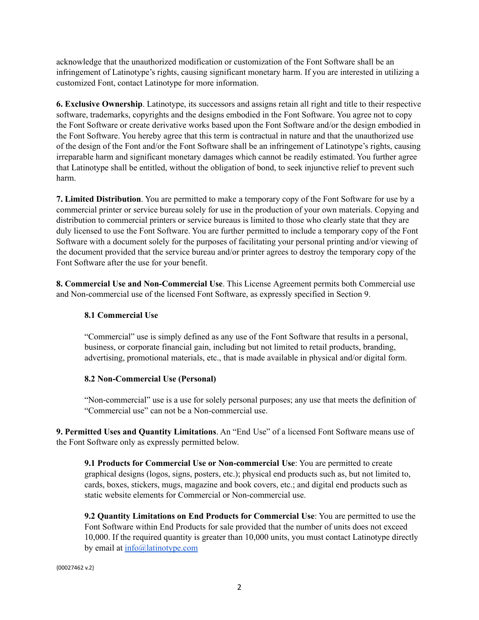acknowledge that the unauthorized modification or customization of the Font Software shall be an infringement of Latinotype's rights, causing significant monetary harm. If you are interested in utilizing a customized Font, contact Latinotype for more information.

**6. Exclusive Ownership**. Latinotype, its successors and assigns retain all right and title to their respective software, trademarks, copyrights and the designs embodied in the Font Software. You agree not to copy the Font Software or create derivative works based upon the Font Software and/or the design embodied in the Font Software. You hereby agree that this term is contractual in nature and that the unauthorized use of the design of the Font and/or the Font Software shall be an infringement of Latinotype's rights, causing irreparable harm and significant monetary damages which cannot be readily estimated. You further agree that Latinotype shall be entitled, without the obligation of bond, to seek injunctive relief to prevent such harm.

**7. Limited Distribution**. You are permitted to make a temporary copy of the Font Software for use by a commercial printer or service bureau solely for use in the production of your own materials. Copying and distribution to commercial printers or service bureaus is limited to those who clearly state that they are duly licensed to use the Font Software. You are further permitted to include a temporary copy of the Font Software with a document solely for the purposes of facilitating your personal printing and/or viewing of the document provided that the service bureau and/or printer agrees to destroy the temporary copy of the Font Software after the use for your benefit.

**8. Commercial Use and Non-Commercial Use**. This License Agreement permits both Commercial use and Non-commercial use of the licensed Font Software, as expressly specified in Section 9.

## **8.1 Commercial Use**

"Commercial" use is simply defined as any use of the Font Software that results in a personal, business, or corporate financial gain, including but not limited to retail products, branding, advertising, promotional materials, etc., that is made available in physical and/or digital form.

## **8.2 Non-Commercial Use (Personal)**

"Non-commercial" use is a use for solely personal purposes; any use that meets the definition of "Commercial use" can not be a Non-commercial use.

**9. Permitted Uses and Quantity Limitations**. An "End Use" of a licensed Font Software means use of the Font Software only as expressly permitted below.

**9.1 Products for Commercial Use or Non-commercial Use**: You are permitted to create graphical designs (logos, signs, posters, etc.); physical end products such as, but not limited to, cards, boxes, stickers, mugs, magazine and book covers, etc.; and digital end products such as static website elements for Commercial or Non-commercial use.

**9.2 Quantity Limitations on End Products for Commercial Use**: You are permitted to use the Font Software within End Products for sale provided that the number of units does not exceed 10,000. If the required quantity is greater than 10,000 units, you must contact Latinotype directly by email at [info@latinotype.com](mailto:info@latinotype.com)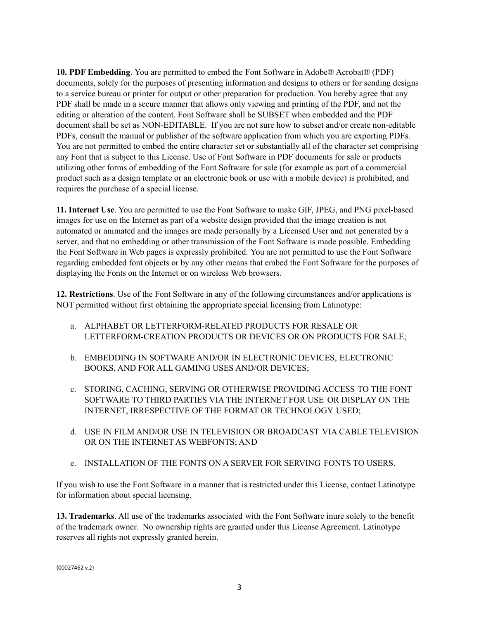**10. PDF Embedding**. You are permitted to embed the Font Software in Adobe® Acrobat® (PDF) documents, solely for the purposes of presenting information and designs to others or for sending designs to a service bureau or printer for output or other preparation for production. You hereby agree that any PDF shall be made in a secure manner that allows only viewing and printing of the PDF, and not the editing or alteration of the content. Font Software shall be SUBSET when embedded and the PDF document shall be set as NON-EDITABLE. If you are not sure how to subset and/or create non-editable PDFs, consult the manual or publisher of the software application from which you are exporting PDFs. You are not permitted to embed the entire character set or substantially all of the character set comprising any Font that is subject to this License. Use of Font Software in PDF documents for sale or products utilizing other forms of embedding of the Font Software for sale (for example as part of a commercial product such as a design template or an electronic book or use with a mobile device) is prohibited, and requires the purchase of a special license.

**11. Internet Use**. You are permitted to use the Font Software to make GIF, JPEG, and PNG pixel-based images for use on the Internet as part of a website design provided that the image creation is not automated or animated and the images are made personally by a Licensed User and not generated by a server, and that no embedding or other transmission of the Font Software is made possible. Embedding the Font Software in Web pages is expressly prohibited. You are not permitted to use the Font Software regarding embedded font objects or by any other means that embed the Font Software for the purposes of displaying the Fonts on the Internet or on wireless Web browsers.

**12. Restrictions**. Use of the Font Software in any of the following circumstances and/or applications is NOT permitted without first obtaining the appropriate special licensing from Latinotype:

- a. ALPHABET OR LETTERFORM-RELATED PRODUCTS FOR RESALE OR LETTERFORM-CREATION PRODUCTS OR DEVICES OR ON PRODUCTS FOR SALE;
- b. EMBEDDING IN SOFTWARE AND/OR IN ELECTRONIC DEVICES, ELECTRONIC BOOKS, AND FOR ALL GAMING USES AND/OR DEVICES;
- c. STORING, CACHING, SERVING OR OTHERWISE PROVIDING ACCESS TO THE FONT SOFTWARE TO THIRD PARTIES VIA THE INTERNET FOR USE OR DISPLAY ON THE INTERNET, IRRESPECTIVE OF THE FORMAT OR TECHNOLOGY USED;
- d. USE IN FILM AND/OR USE IN TELEVISION OR BROADCAST VIA CABLE TELEVISION OR ON THE INTERNET AS WEBFONTS; AND
- e. INSTALLATION OF THE FONTS ON A SERVER FOR SERVING FONTS TO USERS.

If you wish to use the Font Software in a manner that is restricted under this License, contact Latinotype for information about special licensing.

**13. Trademarks**. All use of the trademarks associated with the Font Software inure solely to the benefit of the trademark owner. No ownership rights are granted under this License Agreement. Latinotype reserves all rights not expressly granted herein.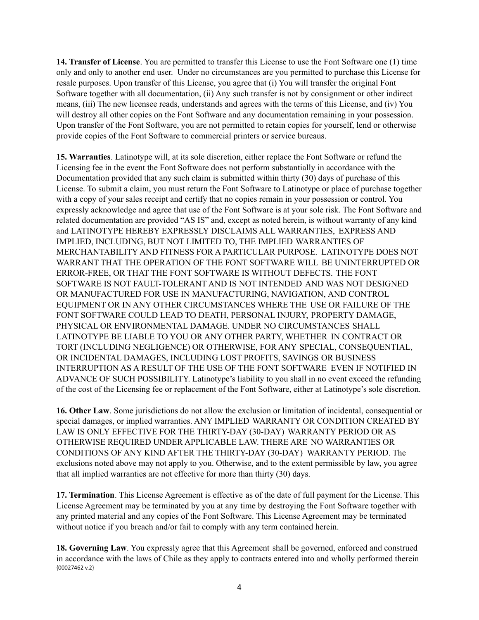**14. Transfer of License**. You are permitted to transfer this License to use the Font Software one (1) time only and only to another end user. Under no circumstances are you permitted to purchase this License for resale purposes. Upon transfer of this License, you agree that (i) You will transfer the original Font Software together with all documentation, (ii) Any such transfer is not by consignment or other indirect means, (iii) The new licensee reads, understands and agrees with the terms of this License, and (iv) You will destroy all other copies on the Font Software and any documentation remaining in your possession. Upon transfer of the Font Software, you are not permitted to retain copies for yourself, lend or otherwise provide copies of the Font Software to commercial printers or service bureaus.

**15. Warranties**. Latinotype will, at its sole discretion, either replace the Font Software or refund the Licensing fee in the event the Font Software does not perform substantially in accordance with the Documentation provided that any such claim is submitted within thirty (30) days of purchase of this License. To submit a claim, you must return the Font Software to Latinotype or place of purchase together with a copy of your sales receipt and certify that no copies remain in your possession or control. You expressly acknowledge and agree that use of the Font Software is at your sole risk. The Font Software and related documentation are provided "AS IS" and, except as noted herein, is without warranty of any kind and LATINOTYPE HEREBY EXPRESSLY DISCLAIMS ALL WARRANTIES, EXPRESS AND IMPLIED, INCLUDING, BUT NOT LIMITED TO, THE IMPLIED WARRANTIES OF MERCHANTABILITY AND FITNESS FOR A PARTICULAR PURPOSE. LATINOTYPE DOES NOT WARRANT THAT THE OPERATION OF THE FONT SOFTWARE WILL BE UNINTERRUPTED OR ERROR-FREE, OR THAT THE FONT SOFTWARE IS WITHOUT DEFECTS. THE FONT SOFTWARE IS NOT FAULT-TOLERANT AND IS NOT INTENDED AND WAS NOT DESIGNED OR MANUFACTURED FOR USE IN MANUFACTURING, NAVIGATION, AND CONTROL EQUIPMENT OR IN ANY OTHER CIRCUMSTANCES WHERE THE USE OR FAILURE OF THE FONT SOFTWARE COULD LEAD TO DEATH, PERSONAL INJURY, PROPERTY DAMAGE, PHYSICAL OR ENVIRONMENTAL DAMAGE. UNDER NO CIRCUMSTANCES SHALL LATINOTYPE BE LIABLE TO YOU OR ANY OTHER PARTY, WHETHER IN CONTRACT OR TORT (INCLUDING NEGLIGENCE) OR OTHERWISE, FOR ANY SPECIAL, CONSEQUENTIAL, OR INCIDENTAL DAMAGES, INCLUDING LOST PROFITS, SAVINGS OR BUSINESS INTERRUPTION AS A RESULT OF THE USE OF THE FONT SOFTWARE EVEN IF NOTIFIED IN ADVANCE OF SUCH POSSIBILITY. Latinotype's liability to you shall in no event exceed the refunding of the cost of the Licensing fee or replacement of the Font Software, either at Latinotype's sole discretion.

**16. Other Law**. Some jurisdictions do not allow the exclusion or limitation of incidental, consequential or special damages, or implied warranties. ANY IMPLIED WARRANTY OR CONDITION CREATED BY LAW IS ONLY EFFECTIVE FOR THE THIRTY-DAY (30-DAY) WARRANTY PERIOD OR AS OTHERWISE REQUIRED UNDER APPLICABLE LAW. THERE ARE NO WARRANTIES OR CONDITIONS OF ANY KIND AFTER THE THIRTY-DAY (30-DAY) WARRANTY PERIOD. The exclusions noted above may not apply to you. Otherwise, and to the extent permissible by law, you agree that all implied warranties are not effective for more than thirty (30) days.

**17. Termination**. This License Agreement is effective as of the date of full payment for the License. This License Agreement may be terminated by you at any time by destroying the Font Software together with any printed material and any copies of the Font Software. This License Agreement may be terminated without notice if you breach and/or fail to comply with any term contained herein.

**18. Governing Law**. You expressly agree that this Agreement shall be governed, enforced and construed in accordance with the laws of Chile as they apply to contracts entered into and wholly performed therein {00027462 v.2}